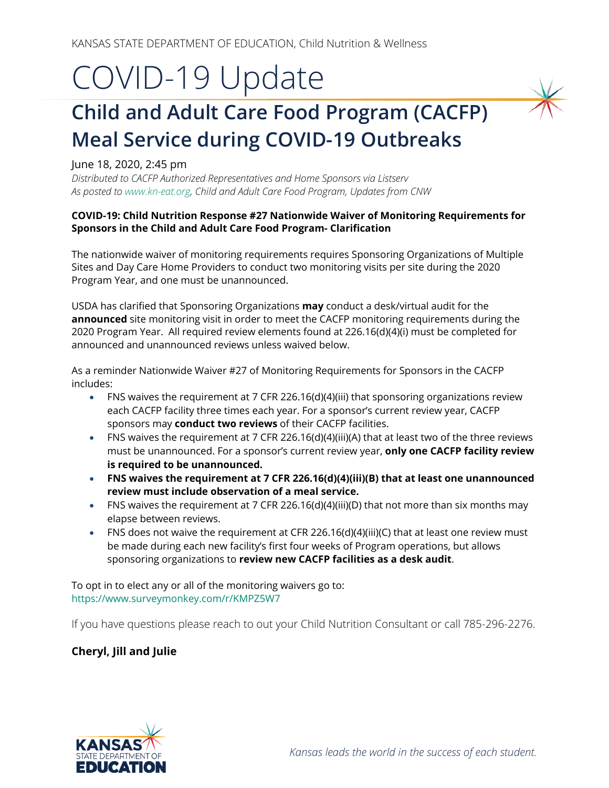## COVID-19 Update

## **Child and Adult Care Food Program (CACFP) Meal Service during COVID-19 Outbreaks**

## June 18, 2020, 2:45 pm

*Distributed to CACFP Authorized Representatives and Home Sponsors via Listserv As posted t[o www.kn-eat.org,](http://www.kn-eat.org/) Child and Adult Care Food Program, Updates from CNW*

## **COVID-19: Child Nutrition Response #27 Nationwide Waiver of Monitoring Requirements for Sponsors in the Child and Adult Care Food Program- Clarification**

The nationwide waiver of monitoring requirements requires Sponsoring Organizations of Multiple Sites and Day Care Home Providers to conduct two monitoring visits per site during the 2020 Program Year, and one must be unannounced.

USDA has clarified that Sponsoring Organizations **may** conduct a desk/virtual audit for the **announced** site monitoring visit in order to meet the CACFP monitoring requirements during the 2020 Program Year. All required review elements found at 226.16(d)(4)(i) must be completed for announced and unannounced reviews unless waived below.

As a reminder Nationwide Waiver #27 of Monitoring Requirements for Sponsors in the CACFP includes:

- FNS waives the requirement at 7 CFR 226.16(d)(4)(iii) that sponsoring organizations review each CACFP facility three times each year. For a sponsor's current review year, CACFP sponsors may **conduct two reviews** of their CACFP facilities.
- FNS waives the requirement at 7 CFR 226.16(d)(4)(iii)(A) that at least two of the three reviews must be unannounced. For a sponsor's current review year, **only one CACFP facility review is required to be unannounced.**
- **FNS waives the requirement at 7 CFR 226.16(d)(4)(iii)(B) that at least one unannounced review must include observation of a meal service.**
- FNS waives the requirement at 7 CFR 226.16(d)(4)(iii)(D) that not more than six months may elapse between reviews.
- FNS does not waive the requirement at CFR 226.16(d)(4)(iii)(C) that at least one review must be made during each new facility's first four weeks of Program operations, but allows sponsoring organizations to **review new CACFP facilities as a desk audit**.

To opt in to elect any or all of the monitoring waivers go to: <https://www.surveymonkey.com/r/KMPZ5W7>

If you have questions please reach to out your Child Nutrition Consultant or call 785-296-2276.

**Cheryl, Jill and Julie**